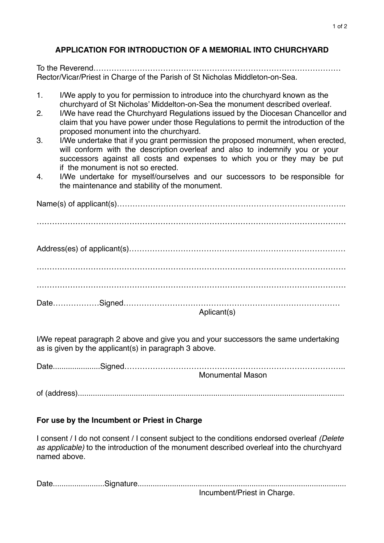## **APPLICATION FOR INTRODUCTION OF A MEMORIAL INTO CHURCHYARD**

To the Reverend…………………………………………………………………………………… Rector/Vicar/Priest in Charge of the Parish of St Nicholas Middleton-on-Sea.

- 1. I/We apply to you for permission to introduce into the churchyard known as the churchyard of St Nicholas' Middelton-on-Sea the monument described overleaf.
- 2. I/We have read the Churchyard Regulations issued by the Diocesan Chancellor and claim that you have power under those Regulations to permit the introduction of the proposed monument into the churchyard.
- 3. I/We undertake that if you grant permission the proposed monument, when erected, will conform with the description overleaf and also to indemnify you or your successors against all costs and expenses to which you or they may be put if the monument is not so erected.
- 4. I/We undertake for myself/ourselves and our successors to be responsible for the maintenance and stability of the monument.

Name(s) of applicant(s)…………………………………………………………………………….. ………………………………………………………………………………………………………… Address(es) of applicant(s)………………………………………………………………………… ………………………………………………………………………………………………………… ………………………………………………………………………………………………………… Date………………Signed………………………………………………………………………… Aplicant(s)

I/We repeat paragraph 2 above and give you and your successors the same undertaking as is given by the applicant(s) in paragraph 3 above.

Date......................Signed…………………………………………………………………………..

Monumental Mason

of (address)............................................................................................................................

## **For use by the Incumbent or Priest in Charge**

I consent / I do not consent / I consent subject to the conditions endorsed overleaf *(Delete as applicable)* to the introduction of the monument described overleaf into the churchyard named above.

Date........................Signature.................................................................................................

Incumbent/Priest in Charge.